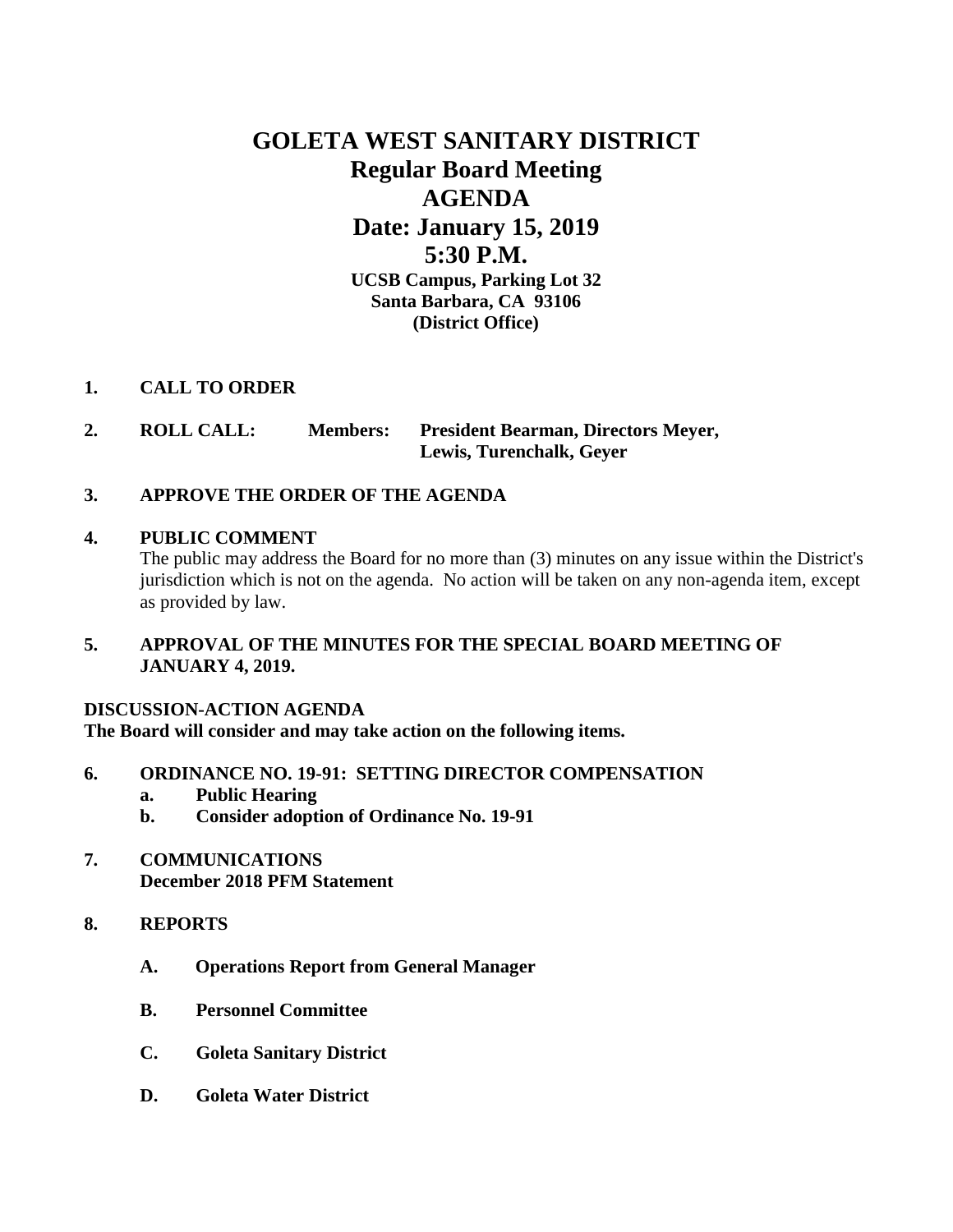# **GOLETA WEST SANITARY DISTRICT Regular Board Meeting AGENDA Date: January 15, 2019 5:30 P.M. UCSB Campus, Parking Lot 32 Santa Barbara, CA 93106 (District Office)**

## **1. CALL TO ORDER**

**2. ROLL CALL: Members: President Bearman, Directors Meyer, Lewis, Turenchalk, Geyer**

## **3. APPROVE THE ORDER OF THE AGENDA**

## **4. PUBLIC COMMENT**

The public may address the Board for no more than (3) minutes on any issue within the District's jurisdiction which is not on the agenda. No action will be taken on any non-agenda item, except as provided by law.

# **5. APPROVAL OF THE MINUTES FOR THE SPECIAL BOARD MEETING OF JANUARY 4, 2019.**

## **DISCUSSION-ACTION AGENDA**

**The Board will consider and may take action on the following items.**

- **6. ORDINANCE NO. 19-91: SETTING DIRECTOR COMPENSATION**
	- **a. Public Hearing**
	- **b. Consider adoption of Ordinance No. 19-91**
- **7. COMMUNICATIONS December 2018 PFM Statement**
- **8. REPORTS**
	- **A. Operations Report from General Manager**
	- **B. Personnel Committee**
	- **C. Goleta Sanitary District**
	- **D. Goleta Water District**